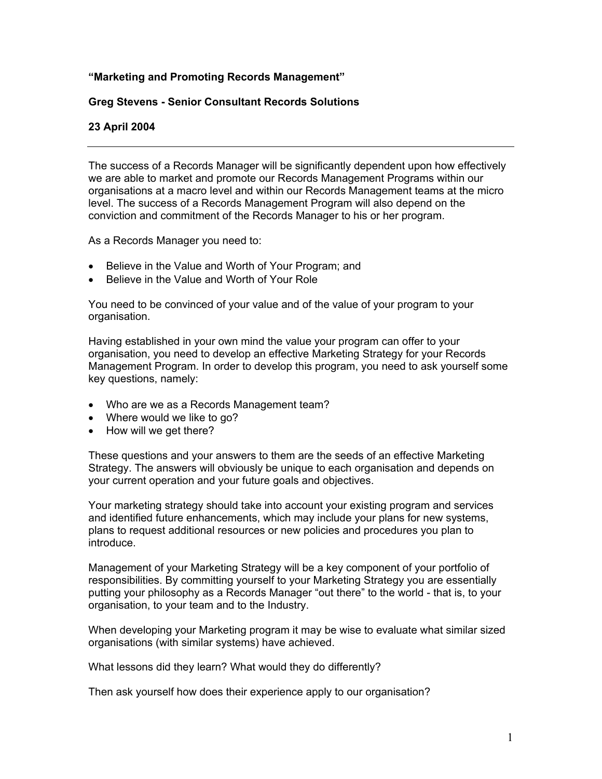# **"Marketing and Promoting Records Management"**

### **Greg Stevens - Senior Consultant Records Solutions**

## **23 April 2004**

The success of a Records Manager will be significantly dependent upon how effectively we are able to market and promote our Records Management Programs within our organisations at a macro level and within our Records Management teams at the micro level. The success of a Records Management Program will also depend on the conviction and commitment of the Records Manager to his or her program.

As a Records Manager you need to:

- Believe in the Value and Worth of Your Program; and
- Believe in the Value and Worth of Your Role

You need to be convinced of your value and of the value of your program to your organisation.

Having established in your own mind the value your program can offer to your organisation, you need to develop an effective Marketing Strategy for your Records Management Program. In order to develop this program, you need to ask yourself some key questions, namely:

- Who are we as a Records Management team?
- Where would we like to go?
- How will we get there?

These questions and your answers to them are the seeds of an effective Marketing Strategy. The answers will obviously be unique to each organisation and depends on your current operation and your future goals and objectives.

Your marketing strategy should take into account your existing program and services and identified future enhancements, which may include your plans for new systems, plans to request additional resources or new policies and procedures you plan to introduce.

Management of your Marketing Strategy will be a key component of your portfolio of responsibilities. By committing yourself to your Marketing Strategy you are essentially putting your philosophy as a Records Manager "out there" to the world - that is, to your organisation, to your team and to the Industry.

When developing your Marketing program it may be wise to evaluate what similar sized organisations (with similar systems) have achieved.

What lessons did they learn? What would they do differently?

Then ask yourself how does their experience apply to our organisation?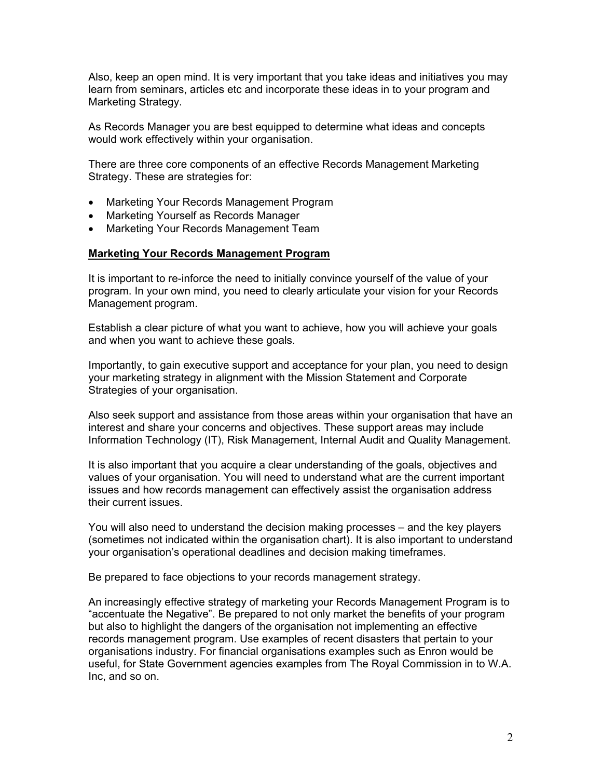Also, keep an open mind. It is very important that you take ideas and initiatives you may learn from seminars, articles etc and incorporate these ideas in to your program and Marketing Strategy.

As Records Manager you are best equipped to determine what ideas and concepts would work effectively within your organisation.

There are three core components of an effective Records Management Marketing Strategy. These are strategies for:

- Marketing Your Records Management Program
- Marketing Yourself as Records Manager
- Marketing Your Records Management Team

## **Marketing Your Records Management Program**

It is important to re-inforce the need to initially convince yourself of the value of your program. In your own mind, you need to clearly articulate your vision for your Records Management program.

Establish a clear picture of what you want to achieve, how you will achieve your goals and when you want to achieve these goals.

Importantly, to gain executive support and acceptance for your plan, you need to design your marketing strategy in alignment with the Mission Statement and Corporate Strategies of your organisation.

Also seek support and assistance from those areas within your organisation that have an interest and share your concerns and objectives. These support areas may include Information Technology (IT), Risk Management, Internal Audit and Quality Management.

It is also important that you acquire a clear understanding of the goals, objectives and values of your organisation. You will need to understand what are the current important issues and how records management can effectively assist the organisation address their current issues.

You will also need to understand the decision making processes – and the key players (sometimes not indicated within the organisation chart). It is also important to understand your organisation's operational deadlines and decision making timeframes.

Be prepared to face objections to your records management strategy.

An increasingly effective strategy of marketing your Records Management Program is to "accentuate the Negative". Be prepared to not only market the benefits of your program but also to highlight the dangers of the organisation not implementing an effective records management program. Use examples of recent disasters that pertain to your organisations industry. For financial organisations examples such as Enron would be useful, for State Government agencies examples from The Royal Commission in to W.A. Inc, and so on.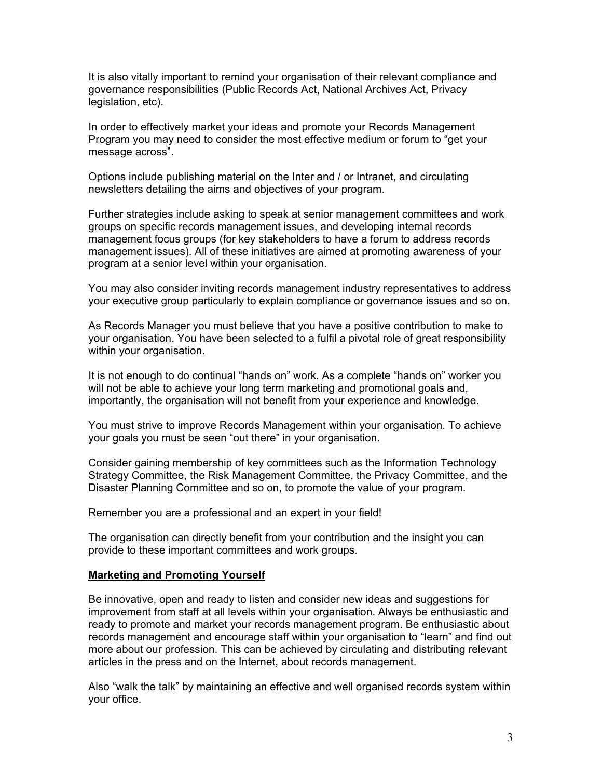It is also vitally important to remind your organisation of their relevant compliance and governance responsibilities (Public Records Act, National Archives Act, Privacy legislation, etc).

In order to effectively market your ideas and promote your Records Management Program you may need to consider the most effective medium or forum to "get your message across".

Options include publishing material on the Inter and / or Intranet, and circulating newsletters detailing the aims and objectives of your program.

Further strategies include asking to speak at senior management committees and work groups on specific records management issues, and developing internal records management focus groups (for key stakeholders to have a forum to address records management issues). All of these initiatives are aimed at promoting awareness of your program at a senior level within your organisation.

You may also consider inviting records management industry representatives to address your executive group particularly to explain compliance or governance issues and so on.

As Records Manager you must believe that you have a positive contribution to make to your organisation. You have been selected to a fulfil a pivotal role of great responsibility within your organisation.

It is not enough to do continual "hands on" work. As a complete "hands on" worker you will not be able to achieve your long term marketing and promotional goals and, importantly, the organisation will not benefit from your experience and knowledge.

You must strive to improve Records Management within your organisation. To achieve your goals you must be seen "out there" in your organisation.

Consider gaining membership of key committees such as the Information Technology Strategy Committee, the Risk Management Committee, the Privacy Committee, and the Disaster Planning Committee and so on, to promote the value of your program.

Remember you are a professional and an expert in your field!

The organisation can directly benefit from your contribution and the insight you can provide to these important committees and work groups.

#### **Marketing and Promoting Yourself**

Be innovative, open and ready to listen and consider new ideas and suggestions for improvement from staff at all levels within your organisation. Always be enthusiastic and ready to promote and market your records management program. Be enthusiastic about records management and encourage staff within your organisation to "learn" and find out more about our profession. This can be achieved by circulating and distributing relevant articles in the press and on the Internet, about records management.

Also "walk the talk" by maintaining an effective and well organised records system within your office.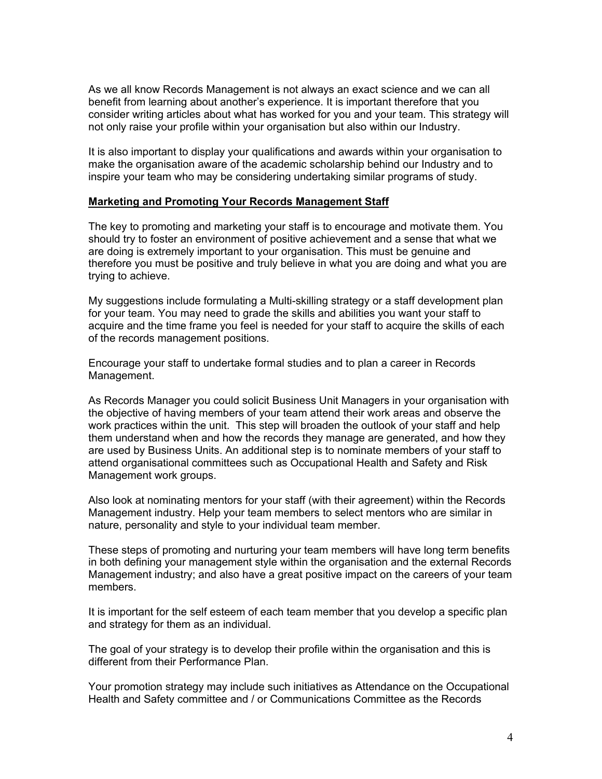As we all know Records Management is not always an exact science and we can all benefit from learning about another's experience. It is important therefore that you consider writing articles about what has worked for you and your team. This strategy will not only raise your profile within your organisation but also within our Industry.

It is also important to display your qualifications and awards within your organisation to make the organisation aware of the academic scholarship behind our Industry and to inspire your team who may be considering undertaking similar programs of study.

#### **Marketing and Promoting Your Records Management Staff**

The key to promoting and marketing your staff is to encourage and motivate them. You should try to foster an environment of positive achievement and a sense that what we are doing is extremely important to your organisation. This must be genuine and therefore you must be positive and truly believe in what you are doing and what you are trying to achieve.

My suggestions include formulating a Multi-skilling strategy or a staff development plan for your team. You may need to grade the skills and abilities you want your staff to acquire and the time frame you feel is needed for your staff to acquire the skills of each of the records management positions.

Encourage your staff to undertake formal studies and to plan a career in Records Management.

As Records Manager you could solicit Business Unit Managers in your organisation with the objective of having members of your team attend their work areas and observe the work practices within the unit. This step will broaden the outlook of your staff and help them understand when and how the records they manage are generated, and how they are used by Business Units. An additional step is to nominate members of your staff to attend organisational committees such as Occupational Health and Safety and Risk Management work groups.

Also look at nominating mentors for your staff (with their agreement) within the Records Management industry. Help your team members to select mentors who are similar in nature, personality and style to your individual team member.

These steps of promoting and nurturing your team members will have long term benefits in both defining your management style within the organisation and the external Records Management industry; and also have a great positive impact on the careers of your team members.

It is important for the self esteem of each team member that you develop a specific plan and strategy for them as an individual.

The goal of your strategy is to develop their profile within the organisation and this is different from their Performance Plan.

Your promotion strategy may include such initiatives as Attendance on the Occupational Health and Safety committee and / or Communications Committee as the Records